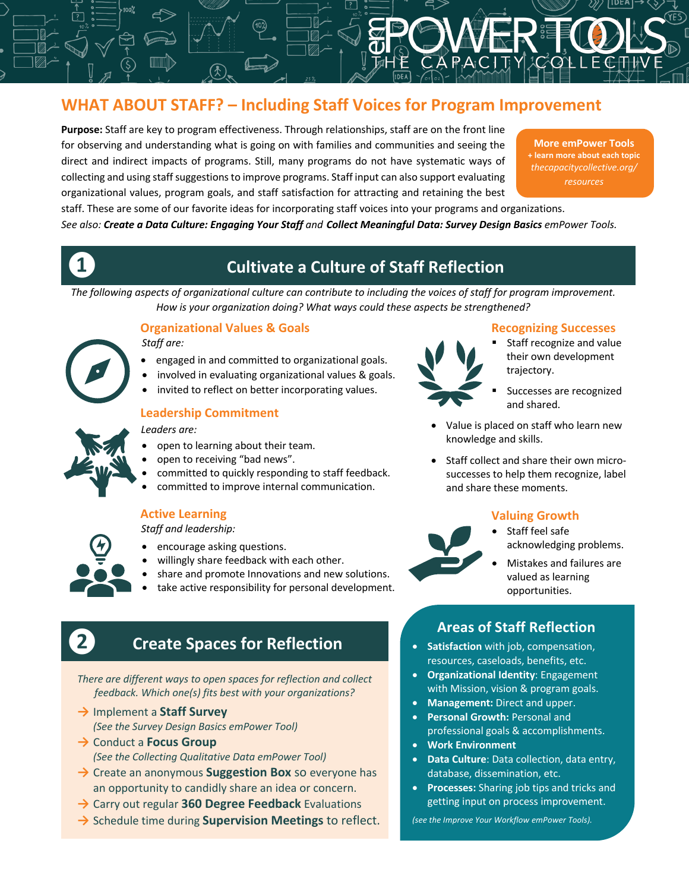# **WHAT ABOUT STAFF? – Including Staff Voices for Program Improvement**

**Purpose:** Staff are key to program effectiveness. Through relationships, staff are on the front line for observing and understanding what is going on with families and communities and seeing the direct and indirect impacts of programs. Still, many programs do not have systematic ways of collecting and using staff suggestions to improve programs. Staff input can also support evaluating organizational values, program goals, and staff satisfaction for attracting and retaining the best

**More emPower Tools + learn more about each topic** *thecapacitycollective.org/ resources*

staff. These are some of our favorite ideas for incorporating staff voices into your programs and organizations. *See also: Create a Data Culture: Engaging Your Staff and Collect Meaningful Data: Survey Design Basics emPower Tools.*

# **❶ Cultivate a Culture of Staff Reflection**

*The following aspects of organizational culture can contribute to including the voices of staff for program improvement. How is your organization doing? What ways could these aspects be strengthened?*

## **Organizational Values & Goals**

*Staff are:* 

- engaged in and committed to organizational goals.
- involved in evaluating organizational values & goals.
- invited to reflect on better incorporating values.

### **Leadership Commitment**

#### *Leaders are:*

- open to learning about their team.
- open to receiving "bad news".
- committed to quickly responding to staff feedback.
- committed to improve internal communication.

## **Active Learning**

*Staff and leadership:* 

- encourage asking questions.
- willingly share feedback with each other.
- share and promote Innovations and new solutions.
- take active responsibility for personal development.

# **Create Spaces for Reflection**

*There are different ways to open spaces for reflection and collect feedback. Which one(s) fits best with your organizations?*

- **→** Implement a **Staff Survey** *(See the Survey Design Basics emPower Tool)*
- **→** Conduct a **Focus Group** *(See the Collecting Qualitative Data emPower Tool)*
- **→** Create an anonymous **Suggestion Box** so everyone has an opportunity to candidly share an idea or concern.
- **→** Carry out regular **360 Degree Feedback** Evaluations
- **→** Schedule time during **Supervision Meetings** to reflect.

#### **Recognizing Successes**

# § Staff recognize and value their own development trajectory.

- § Successes are recognized and shared.
- Value is placed on staff who learn new knowledge and skills.
- Staff collect and share their own microsuccesses to help them recognize, label and share these moments.

#### **Valuing Growth**



• Mistakes and failures are valued as learning opportunities.

# **Areas of Staff Reflection**

- **Satisfaction** with job, compensation, resources, caseloads, benefits, etc.
- **Organizational Identity**: Engagement with Mission, vision & program goals.
- **Management:** Direct and upper.
- **Personal Growth:** Personal and professional goals & accomplishments.
- **Work Environment**
- **Data Culture**: Data collection, data entry, database, dissemination, etc.
- **Processes:** Sharing job tips and tricks and getting input on process improvement.

*(see the Improve Your Workflow emPower Tools).*